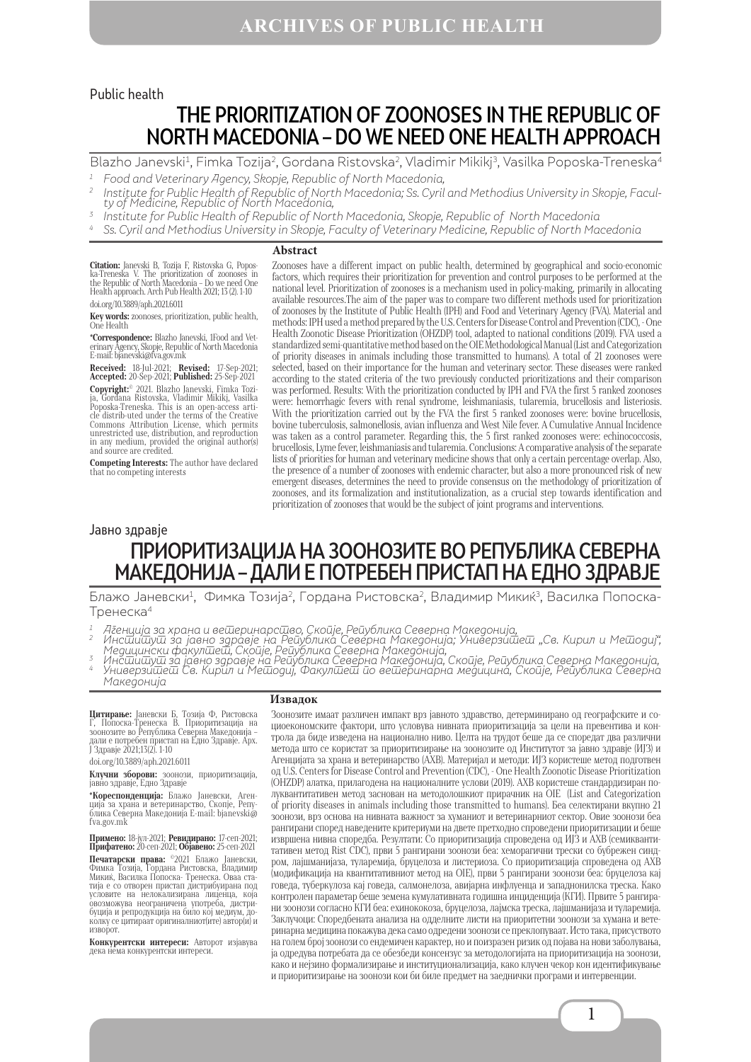#### Public health

# THE PRIORITIZATION OF ZOONOSES IN THE REPUBLIC OF NORTH MACEDONIA – DO WE NEED ONE HEALTH APPROACH

Blazho Janevski<sup>1</sup>, Fimka Tozija<sup>2</sup>, Gordana Ristovska<sup>2</sup>, Vladimir Mikikj<sup>3</sup>, Vasilka Poposka-Treneska<sup>4</sup>

- 
- <sup>1</sup> Food and Veterinary Agency, Skopje, Republic of North Macedonia,<br><sup>2</sup> Institute for Public Health of Republic of North Macedonia; Ss. Cyril and Methodius University in Skopje, Faculty of Medicine, Republic of North Mace
- 
- <sup>4</sup> Ss. Cyril and Methodius University in Skopje, Faculty of Veterinary Medicine, Republic of North Macedonia

#### **Abstract**

**Citation:** Janevski B, Tozija F, Ristovska G, Popos-<br>ka-Treneska V. The prioritization of zoonoses in<br>the Republic of North Macedonia - Do we need One<br>Health approach. Arch Pub Health 2021; 13 (2). 1-10 doi.org/10.3889/aph.2021.6011

**Key words:** zoonoses, prioritization, public health, One Health

**\*Correspondence:** Blazho Janevski, 1Food and Vet-erinary Agency, Skopje, Republic of North Macedonia Е-mail: bjanevski@fva.gov.mk

**Received:** 18-Jul-2021; **Revised:** 17-Sep-2021; **Accepted:** 20-Sep-2021; **Published:** 25-Sep-2021 **Copyright:**© 2021. Blazho Janevski, Fimka Tozi- ja, Gordana Ristovska, Vladimir Mikikj, Vasilka Poposka-Treneska. This is an open-access article distrib-uted under the terms of the Creative Commons Attribution License, which permits unrestricted use, distribution, and reproduction in any medium, provided the original author(s) and source are credited.

**Competing Interests:** The author have declared that no competing interests

Zoonoses have a different impact on public health, determined by geographical and socio-economic factors, which requires their prioritization for prevention and control purposes to be performed at the national level. Prioritization of zoonoses is a mechanism used in policy-making, primarily in allocating available resources.The aim of the paper was to compare two different methods used for prioritization of zoonoses by the Institute of Public Health (IPH) and Food and Veterinary Agency (FVA). Material and methods: IPH used a method prepared by the U.S. Centers for Disease Control and Prevention (CDC), - One Health Zoonotic Disease Prioritization (OHZDP) tool, adapted to national conditions (2019). FVA used a standardized semi-quantitative method based on the OIE Methodological Manual (List and Categorization of priority diseases in animals including those transmitted to humans). A total of 21 zoonoses were selected, based on their importance for the human and veterinary sector. These diseases were ranked according to the stated criteria of the two previously conducted prioritizations and their comparison was performed. Results: With the prioritization conducted by IPH and FVA the first 5 ranked zoonoses were: hemorrhagic fevers with renal syndrome, leishmaniasis, tularemia, brucellosis and listeriosis. With the prioritization carried out by the FVA the first 5 ranked zoonoses were: bovine brucellosis, bovine tuberculosis, salmonellosis, avian influenza and West Nile fever. A Cumulative Annual Incidence was taken as a control parameter. Regarding this, the 5 first ranked zoonoses were: echinococcosis, brucellosis, Lyme fever, leishmaniasis and tularemia. Conclusions: A comparative analysis of the separate lists of priorities for human and veterinary medicine shows that only a certain percentage overlap. Also, the presence of a number of zoonoses with endemic character, but also a more pronounced risk of new emergent diseases, determines the need to provide consensus on the methodology of prioritization of zoonoses, and its formalization and institutionalization, as a crucial step towards identification and prioritization of zoonoses that would be the subject of joint programs and interventions.

#### Jавно здравје

## ПРИОРИТИЗАЦИЈА НА ЗООНОЗИТЕ ВО РЕПУБЛИКА СЕВЕРНА МАКЕДОНИЈА – ДАЛИ Е ПОТРЕБЕН ПРИСТАП НА ЕДНО ЗДРАВЈЕ

Блажо Јаневски<sup>1</sup>, Фимка Тозија<sup>2</sup>, Гордана Ристовска<sup>2</sup>, Владимир Микиќ<sup>3</sup>, Василка Попоска-Тренеска4

**Извадок**

- <sup>1</sup> А́генција за храна и вешеринарсшво, Скойје, Рейублика Северна Македонија,<br><sup>2</sup> Инсшишуш за јавно здравје на Рейублика Северна Македонија; Универзишеш "Св. Кирил и Мешодиј",
- Медицински фа́кулīūеї́й, Ско́йје, Рейу́блика Север'на Македо́нија́,<br>3 Инсійшійуш за јавно здравје на Рейублика Северна Македонија, Скойје, Рейублика Северна Македонија,<br>4 Универзишеш Св. Кирил и Мешодиј, Факулшеш йо Македонија

**Цитирање:** Јаневски Б, Тозија Ф, Ристовска<br>Г, Попоска-Тренеска В. Приоритизација на<br>зоонозите во Република Северна Македонија дали е потребен пристап на Едно Здравје. Арх. Ј Здравје 2021;13(2). 1-10

doi.org/10.3889/aph.2021.6011

**Клучни зборови:** зоонози, приоритизација,<br>јавно здравје, Едно Здравје

**\*Кореспонденција:** Блажо Јаневски, Аген-ција за храна и ветеринарство, Скопје, Репу-блика Северна Македонија E-mail: bjanevski@ fva.gov.mk

**Примено:** 18-јул-2021; **Ревидирано:** 17-сеп-2021; **Прифатено:** 20-сеп-2021; **Објавено:** 25-сеп-2021 **Печатарски права:** ©2021 Блажо Јаневски, Фимка Тозија, Гордана Ристовска, Владимир Микиќ, Василка Попоска- Тренеска. Оваа ста-тија е со отворен пристап дистрибуирана под условите на нелокализирана лиценца, која овозможува неограничена употреба, дистрибуција и репродукција на било кој медиум, до-колку се цитираат оригиналниот(ите) автор(и) и изворот.

**Конкурентски интереси:** Авторот изјавува дека нема конкурентски интереси.

Зоонозите имаат различен импакт врз јавното здравство, детерминирано од географските и социоекономските фактори, што условува нивната приоритизација за цели на превентива и контрола да биде изведена на национално ниво. Целта на трудот беше да се споредат два различни метода што се користат за приоритизирање на зоонозите од Институтот за јавно здравје (ИЈЗ) и Агенцијата за храна и ветеринарство (АХВ). Материјал и методи: ИЈЗ користеше метод подготвен од U.S. Centers for Disease Control and Prevention (CDC), - One Health Zoonotic Disease Prioritization (OHZDP) алатка, прилагодена на националните услови (2019). АХВ користеше стандардизиран полуквантитативен метод заснован на методолошкиот прирачник на OIE (List and Categorization of priority diseases in animals including those transmitted to humans). Беа селектирани вкупно 21 зоонози, врз основа на нивната важност за хумaниот и ветеринарниот сектор. Овие зоонози беа рангирани според наведените критериуми на двете претходно спроведени приоритизации и беше извршена нивна споредба. Резултати: Со приоритизација спроведена од ИЈЗ и АХВ (семиквантитативен метод Rist CDC), први 5 рангирани зоонози беа: хеморагични трески со бубрежен синдром, лајшманијаза, туларемија, бруцелоза и листериоза. Со приоритизација спроведена од АХВ (модификација на квантитативниот метод на OIE), први 5 рангирани зоонози беа: бруцелоза кај говеда, туберкулоза кај говеда, салмонелоза, авијарна инфлуенца и западнонилска треска. Како контролен параметар беше земена кумулативната годишна инциденција (КГИ). Првите 5 рангирани зоонози согласно КГИ беа: ехинококоза, бруцелоза, лајмска треска, лајшманијаза и туларемија. Заклучоци: Споредбената анализа на одделните листи на приоритетни зоонози за хумана и ветеринарна медицина покажува дека само одредени зоонози се преклопуваат. Исто така, присуството на голем број зоонози со ендемичен карактер, но и поизразен ризик од појава на нови заболувања, ја одредува потребата да се обезбеди консензус за методологијата на приоритизација на зоонози, како и нејзино формализирање и институционализација, како клучен чекор кон идентификување и приоритизирање на зоонози кои би биле предмет на заеднички програми и интервенции.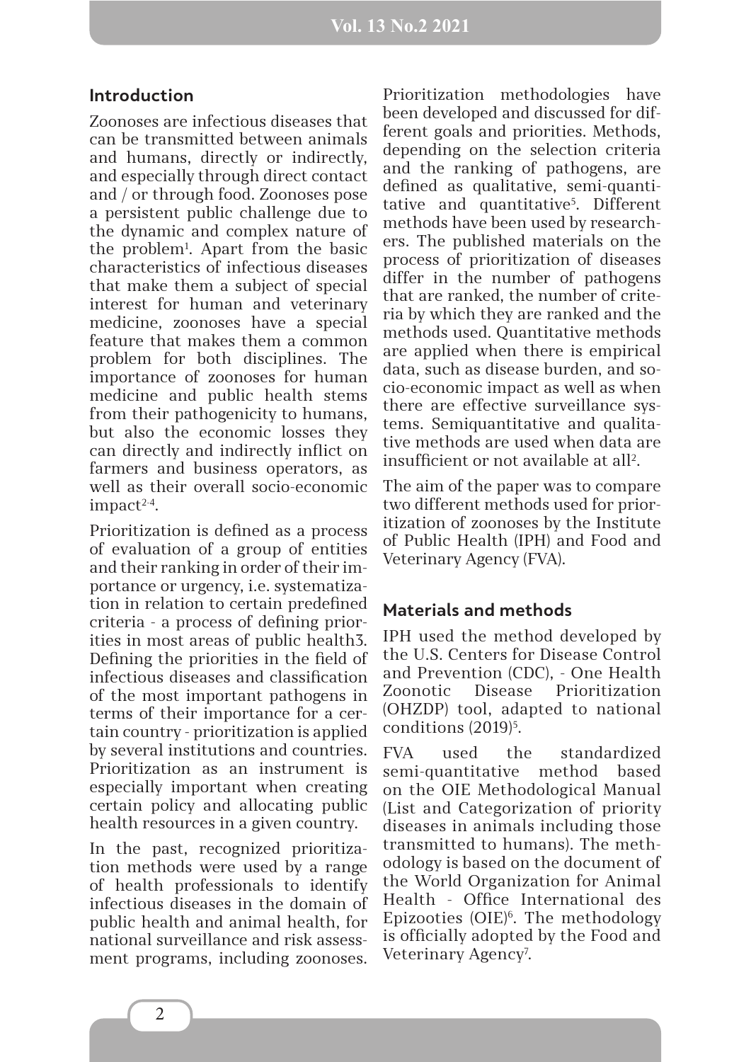#### **Introduction**

Zoonoses are infectious diseases that can be transmitted between animals and humans, directly or indirectly, and especially through direct contact and / or through food. Zoonoses pose a persistent public challenge due to the dynamic and complex nature of the problem1 . Apart from the basic characteristics of infectious diseases that make them a subject of special interest for human and veterinary medicine, zoonoses have a special feature that makes them a common problem for both disciplines. The importance of zoonoses for human medicine and public health stems from their pathogenicity to humans, but also the economic losses they can directly and indirectly inflict on farmers and business operators, as well as their overall socio-economic impact<sup>2-4</sup>.

Prioritization is defined as a process of evaluation of a group of entities and their ranking in order of their importance or urgency, i.e. systematization in relation to certain predefined criteria - a process of defining priorities in most areas of public health3. Defining the priorities in the field of infectious diseases and classification of the most important pathogens in terms of their importance for a certain country - prioritization is applied by several institutions and countries. Prioritization as an instrument is especially important when creating certain policy and allocating public health resources in a given country.

In the past, recognized prioritization methods were used by a range of health professionals to identify infectious diseases in the domain of public health and animal health, for national surveillance and risk assessment programs, including zoonoses.

Prioritization methodologies have been developed and discussed for different goals and priorities. Methods, depending on the selection criteria and the ranking of pathogens, are defined as qualitative, semi-quantitative and quantitative<sup>5</sup>. Different methods have been used by researchers. The published materials on the process of prioritization of diseases differ in the number of pathogens that are ranked, the number of criteria by which they are ranked and the methods used. Quantitative methods are applied when there is empirical data, such as disease burden, and socio-economic impact as well as when there are effective surveillance systems. Semiquantitative and qualitative methods are used when data are insufficient or not available at all<sup>2</sup>.

The aim of the paper was to compare two different methods used for prioritization of zoonoses by the Institute of Public Health (IPH) and Food and Veterinary Agency (FVA).

#### **Materials and methods**

IPH used the method developed by the U.S. Centers for Disease Control and Prevention (CDC), - One Health Zoonotic Disease Prioritization (OHZDP) tool, adapted to national conditions (2019)<sup>5</sup>.

FVA used the standardized semi-quantitative method based on the OIE Methodological Manual (List and Categorization of priority diseases in animals including those transmitted to humans). The methodology is based on the document of the World Organization for Animal Health - Office International des Epizooties (OIE)6 . The methodology is officially adopted by the Food and Veterinary Agency<sup>7</sup>.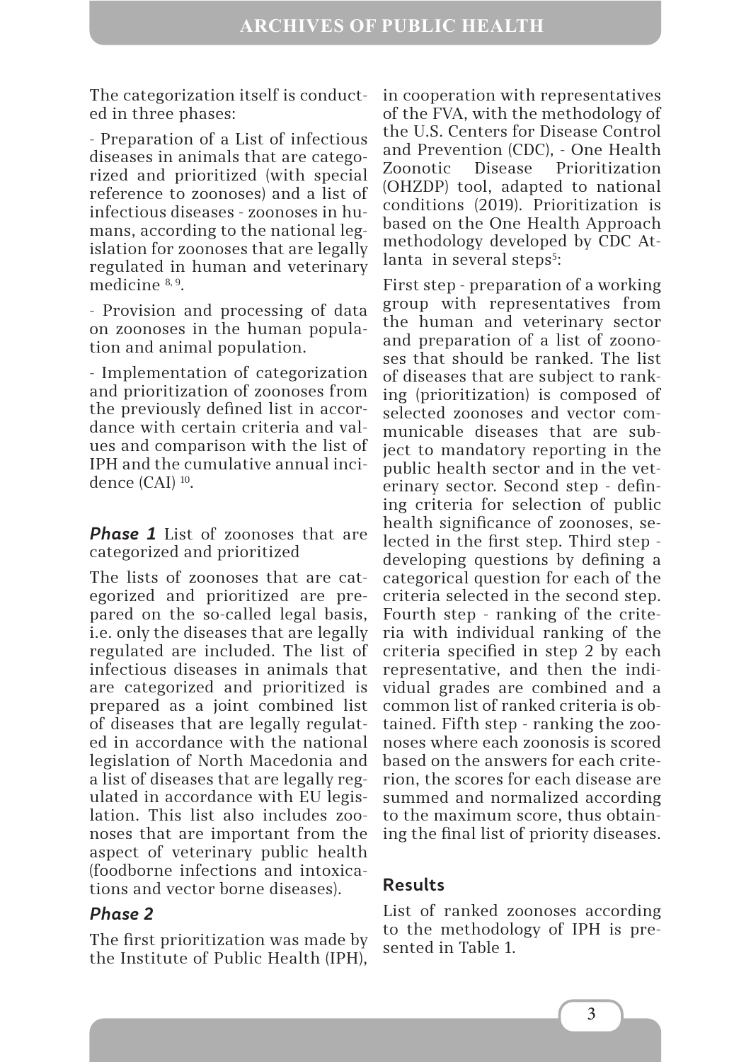The categorization itself is conducted in three phases:

- Preparation of a List of infectious diseases in animals that are categorized and prioritized (with special reference to zoonoses) and a list of infectious diseases - zoonoses in humans, according to the national legislation for zoonoses that are legally regulated in human and veterinary medicine 8, 9.

- Provision and processing of data on zoonoses in the human population and animal population.

- Implementation of categorization and prioritization of zoonoses from the previously defined list in accordance with certain criteria and values and comparison with the list of IPH and the cumulative annual incidence (CAI) 10.

**Phase 1** List of zoonoses that are categorized and prioritized

The lists of zoonoses that are categorized and prioritized are prepared on the so-called legal basis, i.e. only the diseases that are legally regulated are included. The list of infectious diseases in animals that are categorized and prioritized is prepared as a joint combined list of diseases that are legally regulated in accordance with the national legislation of North Macedonia and a list of diseases that are legally regulated in accordance with EU legislation. This list also includes zoonoses that are important from the aspect of veterinary public health (foodborne infections and intoxications and vector borne diseases).

### *Phase 2*

The first prioritization was made by the Institute of Public Health (IPH),

in cooperation with representatives of the FVA, with the methodology of the U.S. Centers for Disease Control and Prevention (CDC), - One Health Zoonotic Disease Prioritization (OHZDP) tool, adapted to national conditions (2019). Prioritization is based on the One Health Approach methodology developed by CDC Atlanta in several steps<sup>5</sup>:

First step - preparation of a working group with representatives from the human and veterinary sector and preparation of a list of zoonoses that should be ranked. The list of diseases that are subject to ranking (prioritization) is composed of selected zoonoses and vector communicable diseases that are subject to mandatory reporting in the public health sector and in the veterinary sector. Second step - defining criteria for selection of public health significance of zoonoses, selected in the first step. Third step developing questions by defining a categorical question for each of the criteria selected in the second step. Fourth step - ranking of the criteria with individual ranking of the criteria specified in step 2 by each representative, and then the individual grades are combined and a common list of ranked criteria is obtained. Fifth step - ranking the zoonoses where each zoonosis is scored based on the answers for each criterion, the scores for each disease are summed and normalized according to the maximum score, thus obtaining the final list of priority diseases.

#### **Results**

List of ranked zoonoses according to the methodology of IPH is presented in Table 1.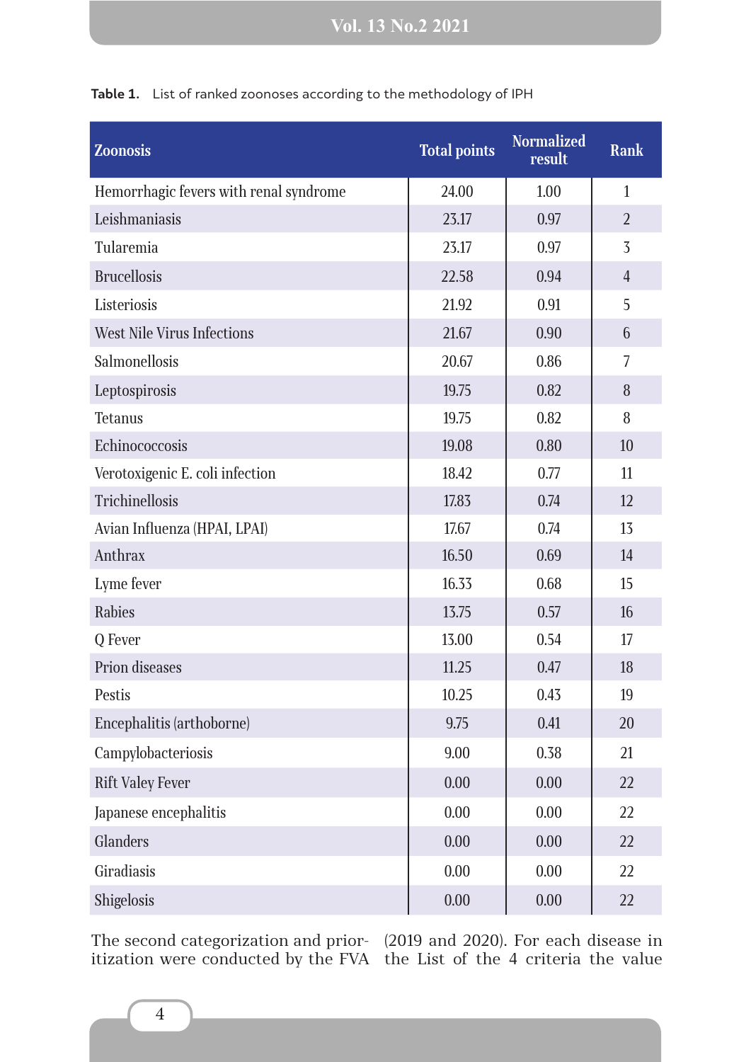| <b>Zoonosis</b>                        | <b>Total points</b> | <b>Normalized</b><br>result | <b>Rank</b>    |
|----------------------------------------|---------------------|-----------------------------|----------------|
| Hemorrhagic fevers with renal syndrome | 24.00               | 1.00                        | $\mathbf{1}$   |
| Leishmaniasis                          | 23.17               | 0.97                        | $\overline{2}$ |
| Tularemia                              | 23.17               | 0.97                        | 3              |
| <b>Brucellosis</b>                     | 22.58               | 0.94                        | $\overline{4}$ |
| Listeriosis                            | 21.92               | 0.91                        | 5              |
| <b>West Nile Virus Infections</b>      | 21.67               | 0.90                        | 6              |
| Salmonellosis                          | 20.67               | 0.86                        | 7              |
| Leptospirosis                          | 19.75               | 0.82                        | 8              |
| Tetanus                                | 19.75               | 0.82                        | 8              |
| Echinococcosis                         | 19.08               | 0.80                        | 10             |
| Verotoxigenic E. coli infection        | 18.42               | 0.77                        | 11             |
| <b>Trichinellosis</b>                  | 17.83               | 0.74                        | 12             |
| Avian Influenza (HPAI, LPAI)           | 17.67               | 0.74                        | 13             |
| Anthrax                                | 16.50               | 0.69                        | 14             |
| Lyme fever                             | 16.33               | 0.68                        | 15             |
| <b>Rabies</b>                          | 13.75               | 0.57                        | 16             |
| Q Fever                                | 13.00               | 0.54                        | 17             |
| Prion diseases                         | 11.25               | 0.47                        | 18             |
| Pestis                                 | 10.25               | 0.43                        | 19             |
| Encephalitis (arthoborne)              | 9.75                | 0.41                        | 20             |
| Campylobacteriosis                     | 9.00                | 0.38                        | 21             |
| <b>Rift Valey Fever</b>                | 0.00                | 0.00                        | 22             |
| Japanese encephalitis                  | 0.00                | 0.00                        | 22             |
| <b>Glanders</b>                        | 0.00                | 0.00                        | 22             |
| Giradiasis                             | 0.00                | 0.00                        | 22             |
| Shigelosis                             | $0.00\,$            | $0.00\,$                    | 22             |

**Table 1.** List of ranked zoonoses according to the methodology of IPH

The second categorization and prioritization were conducted by the FVA (2019 and 2020). For each disease in the List of the 4 criteria the value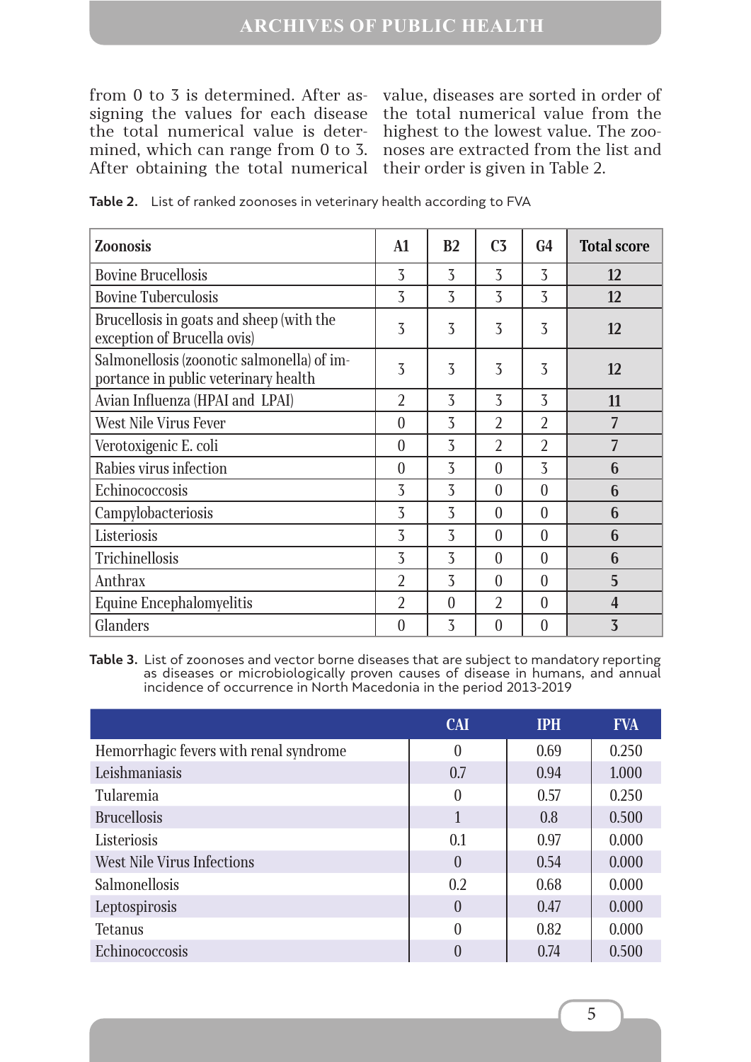### **ARCHIVES OF PUBLIC HEALTH**

from 0 to 3 is determined. After assigning the values for each disease the total numerical value is determined, which can range from 0 to 3. After obtaining the total numerical their order is given in Table 2.

value, diseases are sorted in order of the total numerical value from the highest to the lowest value. The zoonoses are extracted from the list and

| <b>Zoonosis</b>                                                                    | $\mathbf{A1}$    | B <sub>2</sub> | C <sub>3</sub> | G <sub>4</sub> | <b>Total score</b> |
|------------------------------------------------------------------------------------|------------------|----------------|----------------|----------------|--------------------|
| <b>Bovine Brucellosis</b>                                                          | 3                | 3              | 3              | 3              | 12                 |
| <b>Bovine Tuberculosis</b>                                                         | 3                | 3              | 3              | $\overline{3}$ | 12                 |
| Brucellosis in goats and sheep (with the<br>exception of Brucella ovis)            | 3                | 3              | 3              | 3              | 12                 |
| Salmonellosis (zoonotic salmonella) of im-<br>portance in public veterinary health | 3                | 3              | 3              | 3              | 12                 |
| Avian Influenza (HPAI and LPAI)                                                    | $\overline{2}$   | 3              | $\overline{3}$ | 3              | 11                 |
| West Nile Virus Fever                                                              | $\overline{0}$   | 3              | $\overline{2}$ | $\overline{2}$ | 7                  |
| Verotoxigenic E. coli                                                              | $\theta$         | 3              | $\overline{2}$ | $\overline{2}$ | 7                  |
| Rabies virus infection                                                             | $\theta$         | 3              | $\theta$       | 3              | 6                  |
| Echinococcosis                                                                     | 3                | 3              | $\theta$       | $\theta$       | 6                  |
| Campylobacteriosis                                                                 | 3                | 3              | $\theta$       | $\theta$       | 6                  |
| Listeriosis                                                                        | 3                | 3              | $\theta$       | $\theta$       | 6                  |
| Trichinellosis                                                                     | 3                | 3              | $\theta$       | $\theta$       | 6                  |
| Anthrax                                                                            | $\overline{2}$   | 3              | $\theta$       | $\theta$       | 5                  |
| Equine Encephalomyelitis                                                           | $\overline{2}$   | $\theta$       | $\overline{2}$ | $\theta$       | $\overline{4}$     |
| Glanders                                                                           | $\boldsymbol{0}$ | 3              | $\overline{0}$ | $\overline{0}$ | $\overline{3}$     |

**Table 2.** List of ranked zoonoses in veterinary health according to FVA

**Table 3.** List of zoonoses and vector borne diseases that are subject to mandatory reporting as diseases or microbiologically proven causes of disease in humans, and annual incidence of occurrence in North Macedonia in the period 2013-2019

|                                        | <b>CAI</b>     | <b>IPH</b> | <b>FVA</b> |
|----------------------------------------|----------------|------------|------------|
| Hemorrhagic fevers with renal syndrome | $\overline{0}$ | 0.69       | 0.250      |
| Leishmaniasis                          | 0.7            | 0.94       | 1.000      |
| <b>Tularemia</b>                       | $\overline{0}$ | 0.57       | 0.250      |
| <b>Brucellosis</b>                     | 1              | 0.8        | 0.500      |
| Listeriosis                            | 0.1            | 0.97       | 0.000      |
| West Nile Virus Infections             | $\overline{0}$ | 0.54       | 0.000      |
| Salmonellosis                          | 0.2            | 0.68       | 0.000      |
| Leptospirosis                          | $\overline{0}$ | 0.47       | 0.000      |
| <b>Tetanus</b>                         | $\theta$       | 0.82       | 0.000      |
| Echinococcosis                         |                | 0.74       | 0.500      |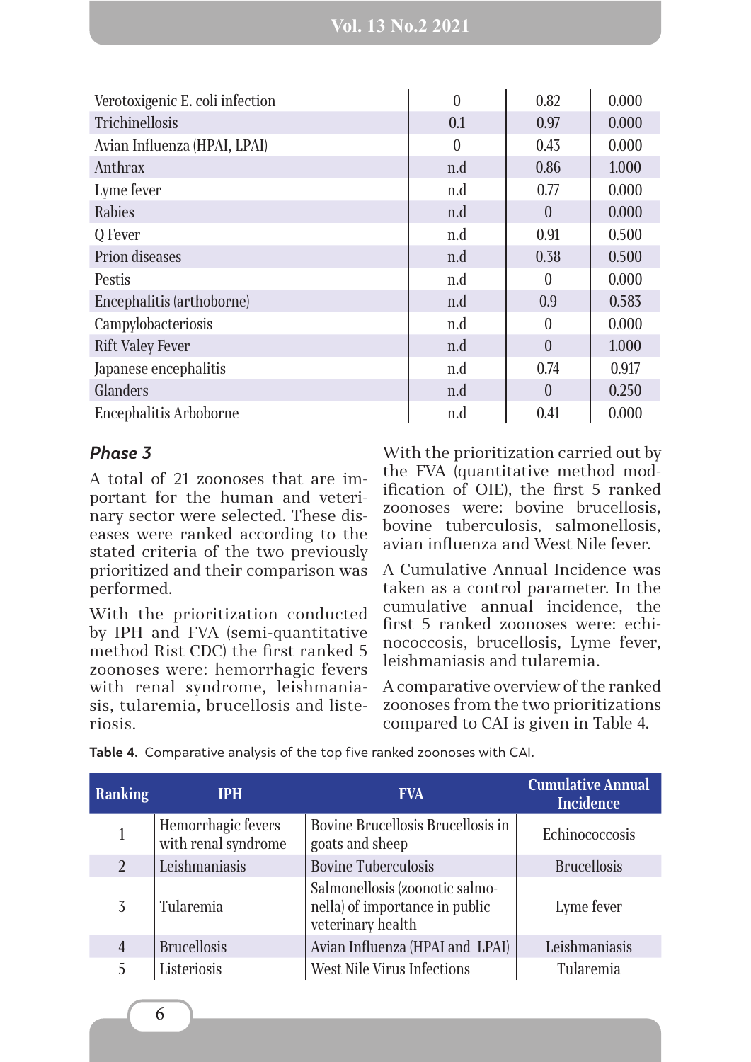| Verotoxigenic E. coli infection | $\overline{0}$ | 0.82     | 0.000 |
|---------------------------------|----------------|----------|-------|
| <b>Trichinellosis</b>           | 0.1            | 0.97     | 0.000 |
| Avian Influenza (HPAI, LPAI)    | $\theta$       | 0.43     | 0.000 |
| Anthrax                         | n.d            | 0.86     | 1.000 |
| Lyme fever                      | n.d            | 0.77     | 0.000 |
| <b>Rabies</b>                   | n.d            | $\theta$ | 0.000 |
| Q Fever                         | n.d            | 0.91     | 0.500 |
| Prion diseases                  | n.d            | 0.38     | 0.500 |
| Pestis                          | n.d            | $\theta$ | 0.000 |
| Encephalitis (arthoborne)       | n.d            | 0.9      | 0.583 |
| Campylobacteriosis              | n.d            | $\theta$ | 0.000 |
| <b>Rift Valey Fever</b>         | n.d            | $\theta$ | 1.000 |
| Japanese encephalitis           | n.d            | 0.74     | 0.917 |
| Glanders                        | n.d            | $\theta$ | 0.250 |
| <b>Encephalitis Arboborne</b>   | n.d            | 0.41     | 0.000 |

#### *Phase 3*

A total of 21 zoonoses that are important for the human and veterinary sector were selected. These diseases were ranked according to the stated criteria of the two previously prioritized and their comparison was performed.

With the prioritization conducted by IPH and FVA (semi-quantitative method Rist CDC) the first ranked 5 zoonoses were: hemorrhagic fevers with renal syndrome, leishmaniasis, tularemia, brucellosis and listeriosis.

With the prioritization carried out by the FVA (quantitative method modification of OIE), the first 5 ranked zoonoses were: bovine brucellosis, bovine tuberculosis, salmonellosis, avian influenza and West Nile fever.

A Cumulative Annual Incidence was taken as a control parameter. In the cumulative annual incidence, the first 5 ranked zoonoses were: echinococcosis, brucellosis, Lyme fever, leishmaniasis and tularemia.

A comparative overview of the ranked zoonoses from the two prioritizations compared to CAI is given in Table 4.

| Ranking        | <b>IPH</b>                                | <b>FVA</b>                                                                            | <b>Cumulative Annual</b><br><b>Incidence</b> |
|----------------|-------------------------------------------|---------------------------------------------------------------------------------------|----------------------------------------------|
|                | Hemorrhagic fevers<br>with renal syndrome | Bovine Brucellosis Brucellosis in<br>goats and sheep                                  | Echinococcosis                               |
| $\overline{2}$ | Leishmaniasis                             | <b>Bovine Tuberculosis</b>                                                            | <b>Brucellosis</b>                           |
| 3              | Tularemia                                 | Salmonellosis (zoonotic salmo-<br>nella) of importance in public<br>veterinary health | Lyme fever                                   |
| $\overline{4}$ | <b>Brucellosis</b>                        | Avian Influenza (HPAI and LPAI)                                                       | Leishmaniasis                                |
| 5              | Listeriosis                               | West Nile Virus Infections                                                            | Tularemia                                    |

**Table 4.** Comparative analysis of the top five ranked zoonoses with CAI.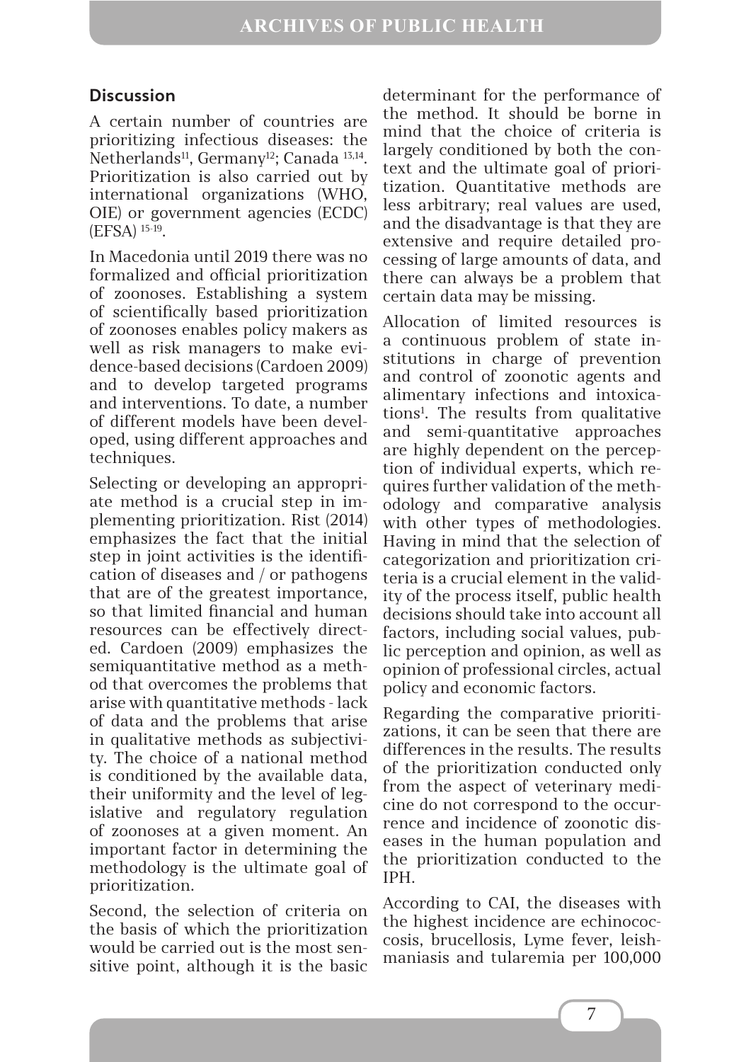## **Discussion**

A certain number of countries are prioritizing infectious diseases: the Netherlands<sup>11</sup>, Germany<sup>12</sup>; Canada<sup>13,14</sup>. Prioritization is also carried out by international organizations (WHO, OIE) or government agencies (ECDC) (EFSA) 15-19.

In Macedonia until 2019 there was no formalized and official prioritization of zoonoses. Establishing a system of scientifically based prioritization of zoonoses enables policy makers as well as risk managers to make evidence-based decisions (Cardoen 2009) and to develop targeted programs and interventions. To date, a number of different models have been developed, using different approaches and techniques.

Selecting or developing an appropriate method is a crucial step in implementing prioritization. Rist (2014) emphasizes the fact that the initial step in joint activities is the identification of diseases and / or pathogens that are of the greatest importance, so that limited financial and human resources can be effectively directed. Cardoen (2009) emphasizes the semiquantitative method as a method that overcomes the problems that arise with quantitative methods - lack of data and the problems that arise in qualitative methods as subjectivity. The choice of a national method is conditioned by the available data, their uniformity and the level of legislative and regulatory regulation of zoonoses at a given moment. An important factor in determining the methodology is the ultimate goal of prioritization.

Second, the selection of criteria on the basis of which the prioritization would be carried out is the most sensitive point, although it is the basic determinant for the performance of the method. It should be borne in mind that the choice of criteria is largely conditioned by both the context and the ultimate goal of prioritization. Quantitative methods are less arbitrary; real values are used, and the disadvantage is that they are extensive and require detailed processing of large amounts of data, and there can always be a problem that certain data may be missing.

Allocation of limited resources is a continuous problem of state institutions in charge of prevention and control of zoonotic agents and alimentary infections and intoxications1 . The results from qualitative and semi-quantitative approaches are highly dependent on the perception of individual experts, which requires further validation of the methodology and comparative analysis with other types of methodologies. Having in mind that the selection of categorization and prioritization criteria is a crucial element in the validity of the process itself, public health decisions should take into account all factors, including social values, public perception and opinion, as well as opinion of professional circles, actual policy and economic factors.

Regarding the comparative prioritizations, it can be seen that there are differences in the results. The results of the prioritization conducted only from the aspect of veterinary medicine do not correspond to the occurrence and incidence of zoonotic diseases in the human population and the prioritization conducted to the IPH.

According to CAI, the diseases with the highest incidence are echinococcosis, brucellosis, Lyme fever, leishmaniasis and tularemia per 100,000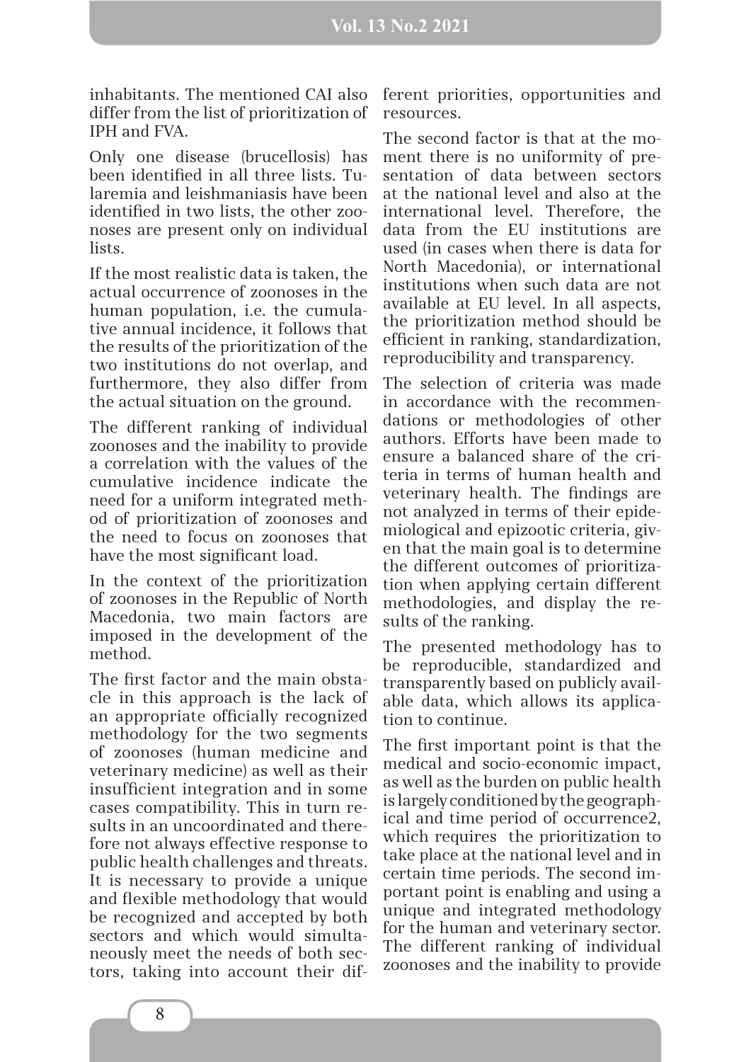inhabitants. The mentioned CAI also differ from the list of prioritization of IPH and FVA.

Only one disease (brucellosis) has been identified in all three lists. Tularemia and leishmaniasis have been identified in two lists, the other zoonoses are present only on individual lists.

If the most realistic data is taken, the actual occurrence of zoonoses in the human population, i.e. the cumulative annual incidence, it follows that the results of the prioritization of the two institutions do not overlap, and furthermore, they also differ from the actual situation on the ground.

The different ranking of individual zoonoses and the inability to provide a correlation with the values of the cumulative incidence indicate the need for a uniform integrated method of prioritization of zoonoses and the need to focus on zoonoses that have the most significant load.

In the context of the prioritization of zoonoses in the Republic of North Macedonia, two main factors are imposed in the development of the method.

The first factor and the main obstacle in this approach is the lack of an appropriate officially recognized methodology for the two segments of zoonoses (human medicine and veterinary medicine) as well as their insufficient integration and in some cases compatibility. This in turn results in an uncoordinated and therefore not always effective response to public health challenges and threats. It is necessary to provide a unique and flexible methodology that would be recognized and accepted by both sectors and which would simultaneously meet the needs of both sectors, taking into account their different priorities, opportunities and resources.

The second factor is that at the moment there is no uniformity of presentation of data between sectors at the national level and also at the international level. Therefore, the data from the EU institutions are used (in cases when there is data for North Macedonia), or international institutions when such data are not available at EU level. In all aspects, the prioritization method should be efficient in ranking, standardization, reproducibility and transparency.

The selection of criteria was made in accordance with the recommendations or methodologies of other authors. Efforts have been made to ensure a balanced share of the criteria in terms of human health and veterinary health. The findings are not analyzed in terms of their epidemiological and epizootic criteria, given that the main goal is to determine the different outcomes of prioritization when applying certain different methodologies, and display the results of the ranking.

The presented methodology has to be reproducible, standardized and transparently based on publicly available data, which allows its application to continue.

The first important point is that the medical and socio-economic impact, as well as the burden on public health is largely conditioned by the geographical and time period of occurrence2, which requires the prioritization to take place at the national level and in certain time periods. The second important point is enabling and using a unique and integrated methodology for the human and veterinary sector. The different ranking of individual zoonoses and the inability to provide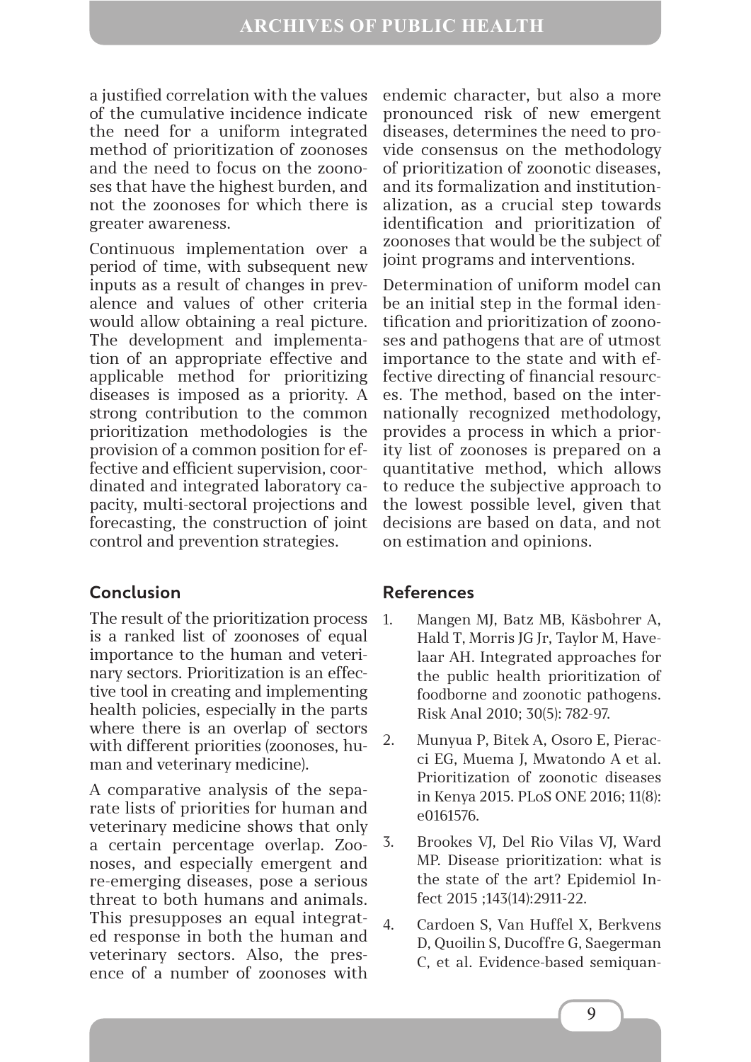a justified correlation with the values of the cumulative incidence indicate the need for a uniform integrated method of prioritization of zoonoses and the need to focus on the zoonoses that have the highest burden, and not the zoonoses for which there is greater awareness.

Continuous implementation over a period of time, with subsequent new inputs as a result of changes in prevalence and values of other criteria would allow obtaining a real picture. The development and implementation of an appropriate effective and applicable method for prioritizing diseases is imposed as a priority. A strong contribution to the common prioritization methodologies is the provision of a common position for effective and efficient supervision, coordinated and integrated laboratory capacity, multi-sectoral projections and forecasting, the construction of joint control and prevention strategies.

### **Conclusion**

The result of the prioritization process is a ranked list of zoonoses of equal importance to the human and veterinary sectors. Prioritization is an effective tool in creating and implementing health policies, especially in the parts where there is an overlap of sectors with different priorities (zoonoses, human and veterinary medicine).

A comparative analysis of the separate lists of priorities for human and veterinary medicine shows that only a certain percentage overlap. Zoonoses, and especially emergent and re-emerging diseases, pose a serious threat to both humans and animals. This presupposes an equal integrated response in both the human and veterinary sectors. Also, the presence of a number of zoonoses with endemic character, but also a more pronounced risk of new emergent diseases, determines the need to provide consensus on the methodology of prioritization of zoonotic diseases, and its formalization and institutionalization, as a crucial step towards identification and prioritization of zoonoses that would be the subject of joint programs and interventions.

Determination of uniform model can be an initial step in the formal identification and prioritization of zoonoses and pathogens that are of utmost importance to the state and with effective directing of financial resources. The method, based on the internationally recognized methodology, provides a process in which a priority list of zoonoses is prepared on a quantitative method, which allows to reduce the subjective approach to the lowest possible level, given that decisions are based on data, and not on estimation and opinions.

### **References**

- 1. Mangen MJ, Batz MB, Käsbohrer A, Hald T, Morris JG Jr, Taylor M, Havelaar AH. Integrated approaches for the public health prioritization of foodborne and zoonotic pathogens. Risk Anal 2010; 30(5): 782-97.
- 2. Munyua P, Bitek A, Osoro E, Pieracci EG, Muema J, Mwatondo A et al. Prioritization of zoonotic diseases in Kenya 2015. PLoS ONE 2016; 11(8): e0161576.
- 3. Brookes VJ, Del Rio Vilas VJ, Ward MP. Disease prioritization: what is the state of the art? Epidemiol Infect 2015 ;143(14):2911-22.
- 4. Cardoen S, Van Huffel X, Berkvens D, Quoilin S, Ducoffre G, Saegerman C, et al. Evidence-based semiquan-